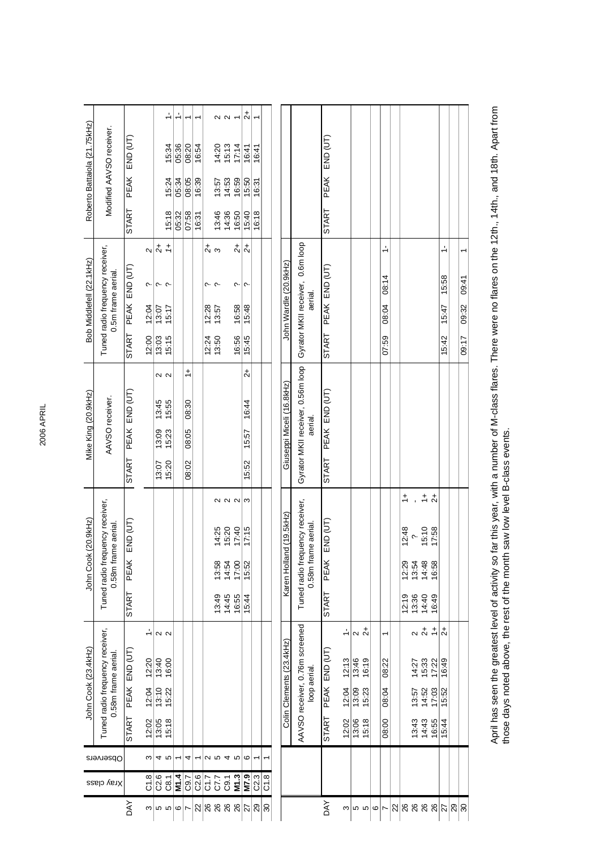$\frac{1}{2}$  $\frac{1}{2}$  $\frac{1}{2}$ 27 **M7.9** 6 15:44 15:52 17:15 3 15:52 15:57 16:44 2+ 15:45 15:48 ? 2+ 15:40 15:50 16:41 2+  $\sim \sim$   $\sim$ 5 <mark>C8.1 5 15:18 15:22 16:00 2</mark> 15:20 16:00 2 15:20 15:20 15:23 15:55 2 15:15 15:17 ? 1+ 15:18 15:24 15:34 1-1.<br>5 **M1.4** 1 05:32 05:34 05:36 1- 26 C7.7 5 13:49 13:58 14:25 2 | 13:58 13:38 13:49 13:58 13:58 13:57 13:49 13:49 13:49 13:57 14:20 20 26 C9.1 4 14:45 14:54 15:20 2 14:36 14:53 15:13 2 7 C9.7 4 16:05 08:05 08:05 08:05 08:05 08:05 08:05 08:05 08:05 08:05 08:05 08:06 11 22 C2.6 1 16:31 16:39 16:54 1 26 **M1.3** 5 16:55 17:00 17:40 2 16:56 16:58 ? 2+ 16:50 16:59 17:14 1 29 C2.3 1 16:18 16:31 16:41 1 Roberto Battaiola (21.75kHz) Bob Middlefell (22.1kHz) Roberto Battaiola {21.75kHz) Modified AAVSO receiver. Modified AAVSO receiver. PEAK END (UT) PEAK END (UT) END (UT) | START PEAK END (UT) | START PEAK END (UT) | START PEAK END (UT) 15:34 05:36 08:20  $14:20$ <br> $15:13$ <br> $17:14$  $\frac{16:41}{16:41}$  $16:54$  $13.57$ <br> $14.53$ <br> $16.59$ 15:24 05:34 08:05  $\frac{16:39}{ }$  $\frac{15:50}{16:31}$ DAY PEAK END (UT) START PEAK END (UT) (START PEAK END (UT) (START PEAK END (UT) (START PEAK END (UT) (START PEAK DAY PEAK END (UT) START PEAK END (UT) (START PEAK END (UT) (START PEAK END (UT) (START PEAK END (UT) START PEAK **START START** 15:18 05:32 07:58  $13:46$ <br> $14:36$ <br> $16:50$  $\frac{15:40}{16:18}$  $16:31$ Gyrator MKII receiver, 0.6m loop  $\frac{1}{2}$  $rac{+}{2}$ Gyrator MKII receiver, 0.6m loop Tuned radio frequency receiver, 5 22.6 4 13:05 13:10 13:0 2 13:00 13:00 13:07 13:09 13:09 13:45 2 13:05 13:07 ? 2 13:07 ?  $\frac{1}{2}$   $\frac{1}{2}$  $26$  C1.7 2 12:28 ?  $2+2$  2 2.28 2.4 2.28 2.4 2.28 2.4 2.28 2.4 2.28 2.4 2.28 2.4 2.28 2.4 2.28 2.4 2.28 2.4 2.28 2.4 2.28 2.4 2.28 2.4 2.28 2.4 2.28 2.4 2.28 2.4 2.28 2.4 2.28 2.4 2.28 2.4 2.28 2.4 2.28 2.4 2.28 2.4 2.28  $\frac{1}{\sqrt{2}}$  $\frac{1}{2}$ Tuned radio frequency receiver, 08:00 08:04 08:22 1 07:59 08:04 08:14 1-  $27$  15:44 15:52 16:49  $2+$  15:52 16:49  $2+$  15:52 15:47 15:58 1-3  $C1.8$  3 12:02 12:04 12:20 1- 1- 1- 12:20 1- 22:04 ? 2 Bob Middlefell (22.1kHz) John Wardle (20.9kHz) John Wardle (20.9kHz) START PEAK END (UT) START PEAK END (UT) END (UT) | START PEAK END (UT) | START PEAK END (UT) | START PEAK END (UT) 0.5m frame aerial. 0.5m frame aerial. 08:14 15:58  $\frac{1}{109.41}$  $\sim$  $\sim$   $\sim$  $\sim$   $\sim$  $\sim$  $\sim$ aerial.08:04 12:04  $\frac{13.07}{15.17}$  $\frac{12:28}{13:57}$ 16:58  $15:47$ 09:32 15:48 12:00  $\frac{13.03}{15.15}$  $\frac{12.24}{13.50}$ 16:56  $15:45$ 07:59  $15:42$  $\frac{1}{09.17}$ Gyrator MKII receiver, 0.56m loop Gyrator MKII receiver, 0.56m loop  $\frac{1}{2}$  $\overline{c}$  $\sim$   $\sim$ Giuseppi Miceli (16.8kHz) Giuseppi Miceli (16.8kHz) START PEAK END (UT) PEAK END (UT) Mike King (20.9kHz) Mike King (20.9kHz) g John Cook (23.4kHz)<br>A Tuned radio frequency receiver, Tuned radio frequency receiver, Mike King (20.9kH<br>AAVSO receiver. (1.58m frame aerial. 0.58m frame aerial. AAVSO receiver. AAVSO receiver.  $\frac{45}{15.55}$ 08:30  $16:44$ aerial.  $\frac{13.23}{15.23}$ 08:05  $\frac{15.57}{x}$ **START**  $\frac{13.07}{15.20}$ 08:02 15:52  $\frac{+}{\sim}$  $\ddot{+}$ 26 12:19 12:29 12:48 1+ 26 13:43 13:57 14:27 2 13:36 13:54 ?<br>26 14:43 14:52 15:33 2+ 14:40 14:48 15:10 1+ 26 16:55 17:03 17:22 1+ 16:49 16:58 17:58 2+  $\overline{a}$  $\alpha \alpha \alpha | \sigma$ Tuned radio frequency receiver, Tuned radio frequency receiver, Tuned radio frequency receiver, Tuned radio frequency receiver, Karen Holland (19.5kHz) Karen Holland (19.5kHz) PEAK END (UT) John Cook (20.9kHz) John Cook (20.9kHz) PEAK END (UT) 0.58m frame aerial. 0.58m frame aerial. 0.58m frame aerial. 0.58m frame aerial. 14:25<br>15:20<br>17:40  $15:10$ <br>17:58  $17:15$  $12.48$  $\sim$  $13.58$ <br> $14.54$ <br> $17.00$ 15:52 2014<br>2014<br>2014<br>2015<br>2014<br>2015 **START START**  $13:45$ <br> $14:45$ <br> $16:55$  $\frac{12:19}{13:36}$ 15:44 16:49 AAVSO receiver, 0.76m screened AAVSO receiver, 0.76m screened  $\alpha \stackrel{+}{\alpha +} \stackrel{+}{\tau}$ Tuned radio frequency receiver, Tuned radio frequency receiver,  $\frac{1}{\sqrt{2}}$  $\frac{1}{2}$  $\frac{1}{2}$  $5$  15:18 15:23 16:19 2+ |ਨ  $|n|$   $\alpha$  $\overline{a}$  $\frac{3}{12.02}$  12:04 12:13 1- 13:06 13:09 13:46 2 Colin Clements (23.4kHz) Colin Clements (23.4kHz) John Cook (23.4kHz) PEAK END (UT) John Cook (23.4kHz) PEAK END (UT) 0.58m frame aerial. 0.58m frame aerial.  $\frac{12.20}{13.40}$  $12:13$ 13:46<br>16:19  $77$ <br>  $753$ <br>  $753$ <br>  $759$ <br>  $759$ <br>  $759$ 08:22 loop aerial.  $12:04$  $\frac{13:10}{15:22}$ 12:04  $\frac{13:09}{15:23}$ 08:04 14:52 17:03 13:57  $15.52$ **START START** 12:02  $13:05$ 15:18 12:02  $\frac{13.06}{15.18}$  $\frac{0.00}{0.00}$  $13:43$ <br> $14:43$ <br> $16:55$  $15:44$ Observers  $40$ ო $\vert$ 4 2545 0 ∣ 30 C1.8 1 M1.4  $\frac{10}{\frac{10}{\frac{10}{\sqrt{7}}}}$ C7.7<br>C9.1 M1.3  $\frac{M7.9}{C2.3}$  $C1.8$  $C2.6$  $C8.1$  $\overline{C9.7}$  $\overline{c1.8}$ Xray class DAY **DAY**  $|$ ଧ୍ଯ $|$ ଞ୍ଜ ଞ୍ଜ ଞ୍ଜ $|$ ଧ୍ଯ $|$ ଅ $|$ ଞ 6 $\overline{r}$ 3556 722 29 מ שומ

April has seen the greatest level of activity so far this year, with a number of M-class flares. There were no flares on the 12th., 14th., and 18th. Apart from April has seen the greatest level of activity so far this year, with a number of M-class flares. There were no flares on the 12th., 14th., and 18th. Apart from those days noted above, the rest of the month saw low level B-class events. those days noted above, the rest of the month saw low level B-class events.

30 09:17 09:32 09:41 1